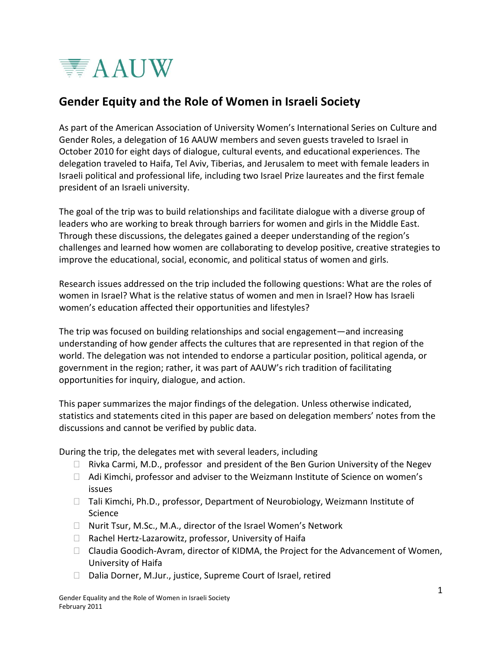

# **Gender Equity and the Role of Women in Israeli Society**

As part of the American Association of University Women's International Series on Culture and Gender Roles, a delegation of 16 AAUW members and seven guests traveled to Israel in October 2010 for eight days of dialogue, cultural events, and educational experiences. The delegation traveled to Haifa, Tel Aviv, Tiberias, and Jerusalem to meet with female leaders in Israeli political and professional life, including two Israel Prize laureates and the first female president of an Israeli university.

The goal of the trip was to build relationships and facilitate dialogue with a diverse group of leaders who are working to break through barriers for women and girls in the Middle East. Through these discussions, the delegates gained a deeper understanding of the region's challenges and learned how women are collaborating to develop positive, creative strategies to improve the educational, social, economic, and political status of women and girls.

Research issues addressed on the trip included the following questions: What are the roles of women in Israel? What is the relative status of women and men in Israel? How has Israeli women's education affected their opportunities and lifestyles?

The trip was focused on building relationships and social engagement—and increasing understanding of how gender affects the cultures that are represented in that region of the world. The delegation was not intended to endorse a particular position, political agenda, or government in the region; rather, it was part of AAUW's rich tradition of facilitating opportunities for inquiry, dialogue, and action.

This paper summarizes the major findings of the delegation. Unless otherwise indicated, statistics and statements cited in this paper are based on delegation members' notes from the discussions and cannot be verified by public data.

During the trip, the delegates met with several leaders, including

- $\Box$  Rivka Carmi, M.D., professor and president of the Ben Gurion University of the Negev
- $\Box$  Adi Kimchi, professor and adviser to the Weizmann Institute of Science on women's issues
- $\Box$  Tali Kimchi, Ph.D., professor, Department of Neurobiology, Weizmann Institute of Science
- □ Nurit Tsur, M.Sc., M.A., director of the Israel Women's Network
- $\Box$  Rachel Hertz-Lazarowitz, professor, University of Haifa
- $\Box$  Claudia Goodich-Avram, director of KIDMA, the Project for the Advancement of Women, University of Haifa
- □ Dalia Dorner, M.Jur., justice, Supreme Court of Israel, retired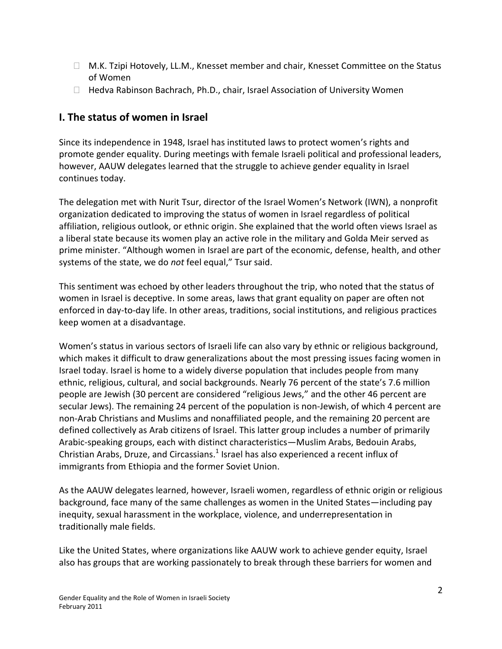- □ M.K. Tzipi Hotovely, LL.M., Knesset member and chair, Knesset Committee on the Status of Women
- $\Box$  Hedva Rabinson Bachrach, Ph.D., chair, Israel Association of University Women

## **I. The status of women in Israel**

Since its independence in 1948, Israel has instituted laws to protect women's rights and promote gender equality. During meetings with female Israeli political and professional leaders, however, AAUW delegates learned that the struggle to achieve gender equality in Israel continues today.

The delegation met with Nurit Tsur, director of the Israel Women's Network (IWN), a nonprofit organization dedicated to improving the status of women in Israel regardless of political affiliation, religious outlook, or ethnic origin. She explained that the world often views Israel as a liberal state because its women play an active role in the military and Golda Meir served as prime minister. "Although women in Israel are part of the economic, defense, health, and other systems of the state, we do *not* feel equal," Tsur said.

This sentiment was echoed by other leaders throughout the trip, who noted that the status of women in Israel is deceptive. In some areas, laws that grant equality on paper are often not enforced in day-to-day life. In other areas, traditions, social institutions, and religious practices keep women at a disadvantage.

Women's status in various sectors of Israeli life can also vary by ethnic or religious background, which makes it difficult to draw generalizations about the most pressing issues facing women in Israel today. Israel is home to a widely diverse population that includes people from many ethnic, religious, cultural, and social backgrounds. Nearly 76 percent of the state's 7.6 million people are Jewish (30 percent are considered "religious Jews," and the other 46 percent are secular Jews). The remaining 24 percent of the population is non-Jewish, of which 4 percent are non-Arab Christians and Muslims and nonaffiliated people, and the remaining 20 percent are defined collectively as Arab citizens of Israel. This latter group includes a number of primarily Arabic-speaking groups, each with distinct characteristics—Muslim Arabs, Bedouin Arabs, Christian Arabs, Druze, and Circassians. $^1$  Israel has also experienced a recent influx of immigrants from Ethiopia and the former Soviet Union.

As the AAUW delegates learned, however, Israeli women, regardless of ethnic origin or religious background, face many of the same challenges as women in the United States—including pay inequity, sexual harassment in the workplace, violence, and underrepresentation in traditionally male fields.

Like the United States, where organizations like AAUW work to achieve gender equity, Israel also has groups that are working passionately to break through these barriers for women and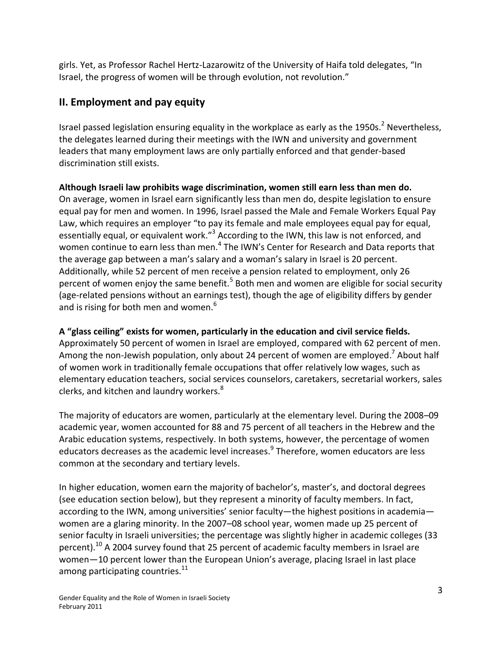girls. Yet, as Professor Rachel Hertz-Lazarowitz of the University of Haifa told delegates, "In Israel, the progress of women will be through evolution, not revolution."

## **II. Employment and pay equity**

Israel passed legislation ensuring equality in the workplace as early as the 1950s.<sup>2</sup> Nevertheless, the delegates learned during their meetings with the IWN and university and government leaders that many employment laws are only partially enforced and that gender-based discrimination still exists.

**Although Israeli law prohibits wage discrimination, women still earn less than men do.** On average, women in Israel earn significantly less than men do, despite legislation to ensure equal pay for men and women. In 1996, Israel passed the Male and Female Workers Equal Pay Law, which requires an employer "to pay its female and male employees equal pay for equal, essentially equal, or equivalent work."<sup>3</sup> According to the IWN, this law is not enforced, and women continue to earn less than men.<sup>4</sup> The IWN's Center for Research and Data reports that the average gap between a man's salary and a woman's salary in Israel is 20 percent. Additionally, while 52 percent of men receive a pension related to employment, only 26 percent of women enjoy the same benefit.<sup>5</sup> Both men and women are eligible for social security (age-related pensions without an earnings test), though the age of eligibility differs by gender and is rising for both men and women.<sup>6</sup>

## **A "glass ceiling" exists for women, particularly in the education and civil service fields.**

Approximately 50 percent of women in Israel are employed, compared with 62 percent of men. Among the non-Jewish population, only about 24 percent of women are employed.<sup>7</sup> About half of women work in traditionally female occupations that offer relatively low wages, such as elementary education teachers, social services counselors, caretakers, secretarial workers, sales clerks, and kitchen and laundry workers.<sup>8</sup>

The majority of educators are women, particularly at the elementary level. During the 2008–09 academic year, women accounted for 88 and 75 percent of all teachers in the Hebrew and the Arabic education systems, respectively. In both systems, however, the percentage of women educators decreases as the academic level increases. 9 Therefore, women educators are less common at the secondary and tertiary levels.

In higher education, women earn the majority of bachelor's, master's, and doctoral degrees (see education section below), but they represent a minority of faculty members. In fact, according to the IWN, among universities' senior faculty—the highest positions in academia women are a glaring minority. In the 2007–08 school year, women made up 25 percent of senior faculty in Israeli universities; the percentage was slightly higher in academic colleges (33 percent).<sup>10</sup> A 2004 survey found that 25 percent of academic faculty members in Israel are women—10 percent lower than the European Union's average, placing Israel in last place among participating countries.<sup>11</sup>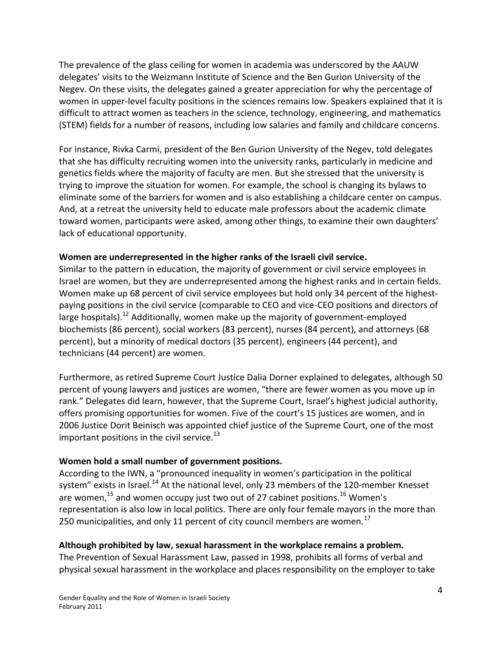The prevalence of the glass ceiling for women in academia was underscored by the AAUW delegates' visits to the Weizmann Institute of Science and the Ben Gurion University of the Negev. On these visits, the delegates gained a greater appreciation for why the percentage of women in upper-level faculty positions in the sciences remains low. Speakers explained that it is difficult to attract women as teachers in the science, technology, engineering, and mathematics (STEM) fields for a number of reasons, including low salaries and family and childcare concerns.

For instance, Rivka Carmi, president of the Ben Gurion University of the Negev, told delegates that she has difficulty recruiting women into the university ranks, particularly in medicine and genetics fields where the majority of faculty are men. But she stressed that the university is trying to improve the situation for women. For example, the school is changing its bylaws to eliminate some of the barriers for women and is also establishing a childcare center on campus. And, at a retreat the university held to educate male professors about the academic climate toward women, participants were asked, among other things, to examine their own daughters' lack of educational opportunity.

## **Women are underrepresented in the higher ranks of the Israeli civil service.**

Similar to the pattern in education, the majority of government or civil service employees in Israel are women, but they are underrepresented among the highest ranks and in certain fields. Women make up 68 percent of civil service employees but hold only 34 percent of the highestpaying positions in the civil service (comparable to CEO and vice-CEO positions and directors of large hospitals).<sup>12</sup> Additionally, women make up the majority of government-employed biochemists (86 percent), social workers (83 percent), nurses (84 percent), and attorneys (68 percent), but a minority of medical doctors (35 percent), engineers (44 percent), and technicians (44 percent) are women.

Furthermore, as retired Supreme Court Justice Dalia Dorner explained to delegates, although 50 percent of young lawyers and justices are women, "there are fewer women as you move up in rank." Delegates did learn, however, that the Supreme Court, Israel's highest judicial authority, offers promising opportunities for women. Five of the court's 15 justices are women, and in 2006 Justice Dorit Beinisch was appointed chief justice of the Supreme Court, one of the most important positions in the civil service. $^{13}$ 

## **Women hold a small number of government positions.**

According to the IWN, a "pronounced inequality in women's participation in the political system" exists in Israel.<sup>14</sup> At the national level, only 23 members of the 120-member Knesset are women,<sup>15</sup> and women occupy just two out of 27 cabinet positions.<sup>16</sup> Women's representation is also low in local politics. There are only four female mayors in the more than 250 municipalities, and only 11 percent of city council members are women.<sup>17</sup>

## **Although prohibited by law, sexual harassment in the workplace remains a problem.**

The Prevention of Sexual Harassment Law, passed in 1998, prohibits all forms of verbal and physical sexual harassment in the workplace and places responsibility on the employer to take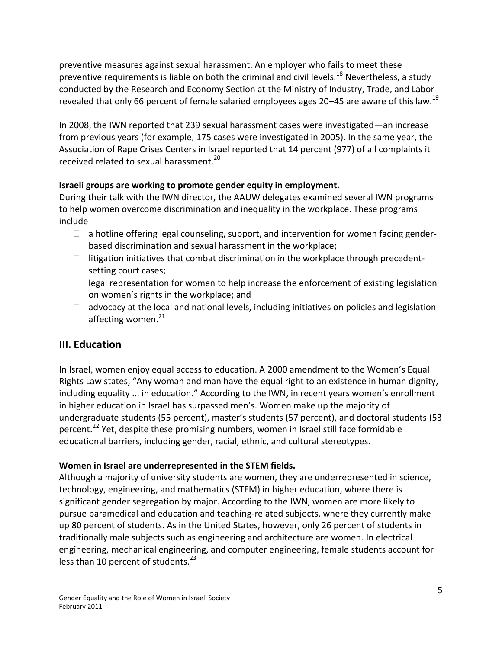preventive measures against sexual harassment. An employer who fails to meet these preventive requirements is liable on both the criminal and civil levels.<sup>18</sup> Nevertheless, a study conducted by the Research and Economy Section at the Ministry of Industry, Trade, and Labor revealed that only 66 percent of female salaried employees ages 20–45 are aware of this law.<sup>19</sup>

In 2008, the IWN reported that 239 sexual harassment cases were investigated—an increase from previous years (for example, 175 cases were investigated in 2005). In the same year, the Association of Rape Crises Centers in Israel reported that 14 percent (977) of all complaints it received related to sexual harassment.<sup>20</sup>

## **Israeli groups are working to promote gender equity in employment.**

During their talk with the IWN director, the AAUW delegates examined several IWN programs to help women overcome discrimination and inequality in the workplace. These programs include

- $\Box$  a hotline offering legal counseling, support, and intervention for women facing genderbased discrimination and sexual harassment in the workplace;
- $\Box$  litigation initiatives that combat discrimination in the workplace through precedentsetting court cases;
- $\Box$  legal representation for women to help increase the enforcement of existing legislation on women's rights in the workplace; and
- $\Box$  advocacy at the local and national levels, including initiatives on policies and legislation affecting women. $^{21}$

# **III. Education**

In Israel, women enjoy equal access to education. A 2000 amendment to the Women's Equal Rights Law states, "Any woman and man have the equal right to an existence in human dignity, including equality ... in education." According to the IWN, in recent years women's enrollment in higher education in Israel has surpassed men's. Women make up the majority of undergraduate students (55 percent), master's students (57 percent), and doctoral students (53 percent.<sup>22</sup> Yet, despite these promising numbers, women in Israel still face formidable educational barriers, including gender, racial, ethnic, and cultural stereotypes.

## **Women in Israel are underrepresented in the STEM fields.**

Although a majority of university students are women, they are underrepresented in science, technology, engineering, and mathematics (STEM) in higher education, where there is significant gender segregation by major. According to the IWN, women are more likely to pursue paramedical and education and teaching-related subjects, where they currently make up 80 percent of students. As in the United States, however, only 26 percent of students in traditionally male subjects such as engineering and architecture are women. In electrical engineering, mechanical engineering, and computer engineering, female students account for less than 10 percent of students.<sup>23</sup>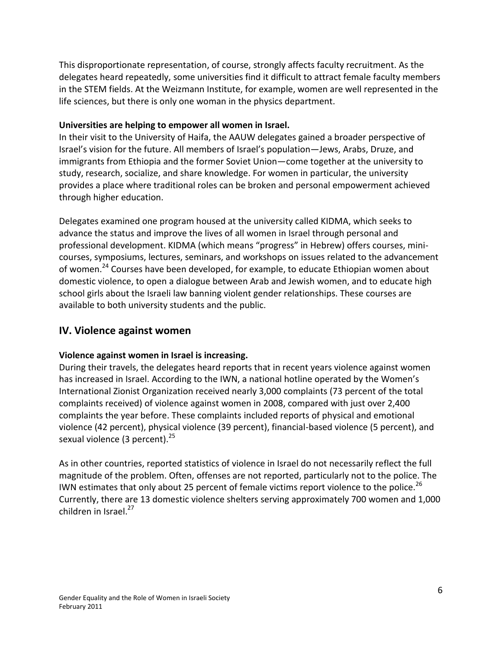This disproportionate representation, of course, strongly affects faculty recruitment. As the delegates heard repeatedly, some universities find it difficult to attract female faculty members in the STEM fields. At the Weizmann Institute, for example, women are well represented in the life sciences, but there is only one woman in the physics department.

#### **Universities are helping to empower all women in Israel.**

In their visit to the University of Haifa, the AAUW delegates gained a broader perspective of Israel's vision for the future. All members of Israel's population—Jews, Arabs, Druze, and immigrants from Ethiopia and the former Soviet Union—come together at the university to study, research, socialize, and share knowledge. For women in particular, the university provides a place where traditional roles can be broken and personal empowerment achieved through higher education.

Delegates examined one program housed at the university called KIDMA, which seeks to advance the status and improve the lives of all women in Israel through personal and professional development. KIDMA (which means "progress" in Hebrew) offers courses, minicourses, symposiums, lectures, seminars, and workshops on issues related to the advancement of women.<sup>24</sup> Courses have been developed, for example, to educate Ethiopian women about domestic violence, to open a dialogue between Arab and Jewish women, and to educate high school girls about the Israeli law banning violent gender relationships. These courses are available to both university students and the public.

## **IV. Violence against women**

## **Violence against women in Israel is increasing.**

During their travels, the delegates heard reports that in recent years violence against women has increased in Israel. According to the IWN, a national hotline operated by the Women's International Zionist Organization received nearly 3,000 complaints (73 percent of the total complaints received) of violence against women in 2008, compared with just over 2,400 complaints the year before. These complaints included reports of physical and emotional violence (42 percent), physical violence (39 percent), financial-based violence (5 percent), and sexual violence (3 percent).<sup>25</sup>

As in other countries, reported statistics of violence in Israel do not necessarily reflect the full magnitude of the problem. Often, offenses are not reported, particularly not to the police. The IWN estimates that only about 25 percent of female victims report violence to the police.<sup>26</sup> Currently, there are 13 domestic violence shelters serving approximately 700 women and 1,000 children in Israel.<sup>27</sup>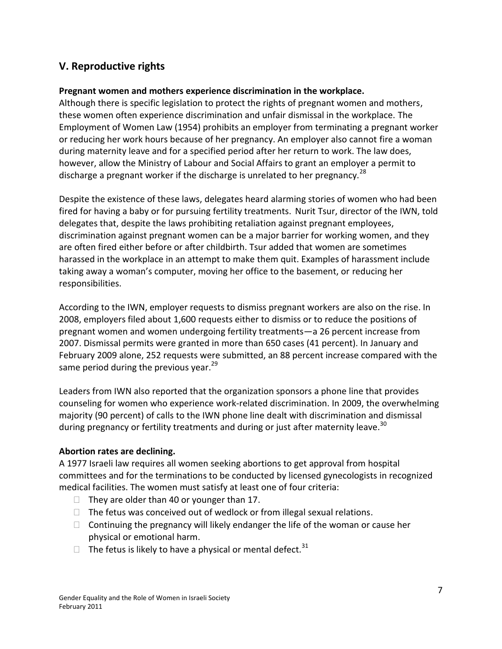## **V. Reproductive rights**

## **Pregnant women and mothers experience discrimination in the workplace.**

Although there is specific legislation to protect the rights of pregnant women and mothers, these women often experience discrimination and unfair dismissal in the workplace. The Employment of Women Law (1954) prohibits an employer from terminating a pregnant worker or reducing her work hours because of her pregnancy. An employer also cannot fire a woman during maternity leave and for a specified period after her return to work. The law does, however, allow the Ministry of Labour and Social Affairs to grant an employer a permit to discharge a pregnant worker if the discharge is unrelated to her pregnancy.<sup>28</sup>

Despite the existence of these laws, delegates heard alarming stories of women who had been fired for having a baby or for pursuing fertility treatments. Nurit Tsur, director of the IWN, told delegates that, despite the laws prohibiting retaliation against pregnant employees, discrimination against pregnant women can be a major barrier for working women, and they are often fired either before or after childbirth. Tsur added that women are sometimes harassed in the workplace in an attempt to make them quit. Examples of harassment include taking away a woman's computer, moving her office to the basement, or reducing her responsibilities.

According to the IWN, employer requests to dismiss pregnant workers are also on the rise. In 2008, employers filed about 1,600 requests either to dismiss or to reduce the positions of pregnant women and women undergoing fertility treatments—a 26 percent increase from 2007. Dismissal permits were granted in more than 650 cases (41 percent). In January and February 2009 alone, 252 requests were submitted, an 88 percent increase compared with the same period during the previous year. $^{29}$ 

Leaders from IWN also reported that the organization sponsors a phone line that provides counseling for women who experience work-related discrimination. In 2009, the overwhelming majority (90 percent) of calls to the IWN phone line dealt with discrimination and dismissal during pregnancy or fertility treatments and during or just after maternity leave.<sup>30</sup>

## **Abortion rates are declining.**

A 1977 Israeli law requires all women seeking abortions to get approval from hospital committees and for the terminations to be conducted by licensed gynecologists in recognized medical facilities. The women must satisfy at least one of four criteria:

- $\Box$  They are older than 40 or younger than 17.
- $\Box$  The fetus was conceived out of wedlock or from illegal sexual relations.
- $\Box$  Continuing the pregnancy will likely endanger the life of the woman or cause her physical or emotional harm.
- $\Box$  The fetus is likely to have a physical or mental defect.<sup>31</sup>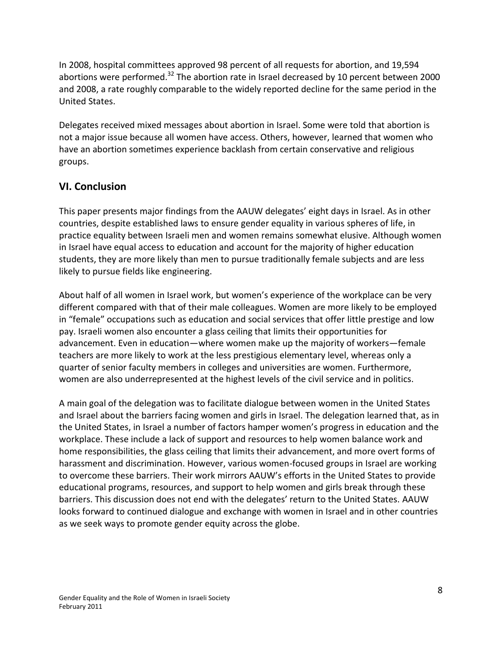In 2008, hospital committees approved 98 percent of all requests for abortion, and 19,594 abortions were performed.<sup>32</sup> The abortion rate in Israel decreased by 10 percent between 2000 and 2008, a rate roughly comparable to the widely reported decline for the same period in the United States.

Delegates received mixed messages about abortion in Israel. Some were told that abortion is not a major issue because all women have access. Others, however, learned that women who have an abortion sometimes experience backlash from certain conservative and religious groups.

# **VI. Conclusion**

This paper presents major findings from the AAUW delegates' eight days in Israel. As in other countries, despite established laws to ensure gender equality in various spheres of life, in practice equality between Israeli men and women remains somewhat elusive. Although women in Israel have equal access to education and account for the majority of higher education students, they are more likely than men to pursue traditionally female subjects and are less likely to pursue fields like engineering.

About half of all women in Israel work, but women's experience of the workplace can be very different compared with that of their male colleagues. Women are more likely to be employed in "female" occupations such as education and social services that offer little prestige and low pay. Israeli women also encounter a glass ceiling that limits their opportunities for advancement. Even in education—where women make up the majority of workers—female teachers are more likely to work at the less prestigious elementary level, whereas only a quarter of senior faculty members in colleges and universities are women. Furthermore, women are also underrepresented at the highest levels of the civil service and in politics.

A main goal of the delegation was to facilitate dialogue between women in the United States and Israel about the barriers facing women and girls in Israel. The delegation learned that, as in the United States, in Israel a number of factors hamper women's progress in education and the workplace. These include a lack of support and resources to help women balance work and home responsibilities, the glass ceiling that limits their advancement, and more overt forms of harassment and discrimination. However, various women-focused groups in Israel are working to overcome these barriers. Their work mirrors AAUW's efforts in the United States to provide educational programs, resources, and support to help women and girls break through these barriers. This discussion does not end with the delegates' return to the United States. AAUW looks forward to continued dialogue and exchange with women in Israel and in other countries as we seek ways to promote gender equity across the globe.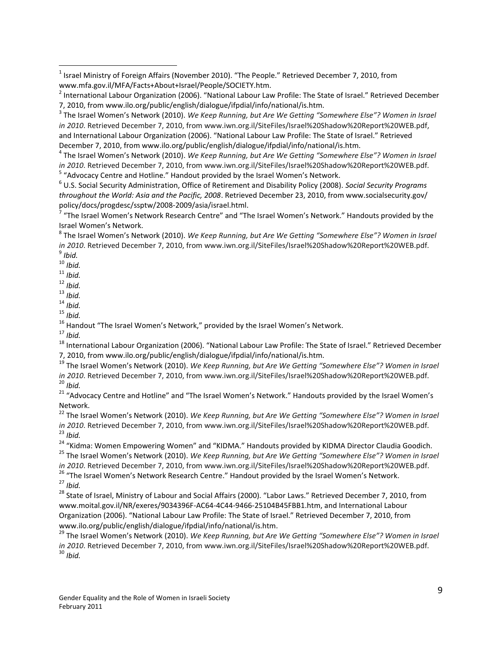9 *Ibid.*

 $\overline{a}$ 

- <sup>10</sup> *Ibid.*
- <sup>11</sup> *Ibid.*
- <sup>12</sup> *Ibid.* <sup>13</sup> *Ibid.*
- <sup>14</sup> *Ibid.*
- <sup>15</sup> *Ibid.*

<sup>17</sup> *Ibid.*

<sup>18</sup> International Labour Organization (2006). "National Labour Law Profile: The State of Israel." Retrieved December 7, 2010, from www.ilo.org/public/english/dialogue/ifpdial/info/national/is.htm.

<sup>19</sup> The Israel Women's Network (2010). *We Keep Running, but Are We Getting "Somewhere Else"? Women in Israel in 2010*. Retrieved December 7, 2010, from www.iwn.org.il/SiteFiles/Israel%20Shadow%20Report%20WEB.pdf. <sup>20</sup> *Ibid.*

<sup>21</sup> "Advocacy Centre and Hotline" and "The Israel Women's Network." Handouts provided by the Israel Women's Network.

<sup>22</sup> The Israel Women's Network (2010). We Keep Running, but Are We Getting "Somewhere Else"? Women in Israel *in 2010*. Retrieved December 7, 2010, from www.iwn.org.il/SiteFiles/Israel%20Shadow%20Report%20WEB.pdf. <sup>23</sup> *Ibid.*

<sup>24</sup> "Kidma: Women Empowering Women" and "KIDMA." Handouts provided by KIDMA Director Claudia Goodich. <sup>25</sup> The Israel Women's Network (2010). *We Keep Running, but Are We Getting "Somewhere Else"? Women in Israel* 

*in 2010*. Retrieved December 7, 2010, from www.iwn.org.il/SiteFiles/Israel%20Shadow%20Report%20WEB.pdf. <sup>26</sup> "The Israel Women's Network Research Centre." Handout provided by the Israel Women's Network.

<sup>27</sup> *Ibid.*

<sup>28</sup> State of Israel, Ministry of Labour and Social Affairs (2000). "Labor Laws." Retrieved December 7, 2010, from www.moital.gov.il/NR/exeres/9034396F-AC64-4C44-9466-25104B45FBB1.htm, and International Labour Organization (2006). "National Labour Law Profile: The State of Israel." Retrieved December 7, 2010, from www.ilo.org/public/english/dialogue/ifpdial/info/national/is.htm.

<sup>29</sup> The Israel Women's Network (2010). *We Keep Running, but Are We Getting "Somewhere Else"? Women in Israel in 2010*. Retrieved December 7, 2010, from www.iwn.org.il/SiteFiles/Israel%20Shadow%20Report%20WEB.pdf. <sup>30</sup> *Ibid.*

 $^1$  Israel Ministry of Foreign Affairs (November 2010). "The People." Retrieved December 7, 2010, from www.mfa.gov.il/MFA/Facts+About+Israel/People/SOCIETY.htm.

<sup>&</sup>lt;sup>2</sup> International Labour Organization (2006). "National Labour Law Profile: The State of Israel." Retrieved December 7, 2010, from www.ilo.org/public/english/dialogue/ifpdial/info/national/is.htm.

<sup>&</sup>lt;sup>3</sup> The Israel Women's Network (2010). *We Keep Running, but Are We Getting "Somewhere Else"? Women in Israel in 2010*. Retrieved December 7, 2010, from www.iwn.org.il/SiteFiles/Israel%20Shadow%20Report%20WEB.pdf, and International Labour Organization (2006). "National Labour Law Profile: The State of Israel." Retrieved December 7, 2010, from www.ilo.org/public/english/dialogue/ifpdial/info/national/is.htm.

<sup>4</sup> The Israel Women's Network (2010). *We Keep Running, but Are We Getting "Somewhere Else"? Women in Israel in 2010*. Retrieved December 7, 2010, from www.iwn.org.il/SiteFiles/Israel%20Shadow%20Report%20WEB.pdf. <sup>5</sup> "Advocacy Centre and Hotline." Handout provided by the Israel Women's Network.

<sup>6</sup> U.S. Social Security Administration, Office of Retirement and Disability Policy (2008). *Social Security Programs throughout the World: Asia and the Pacific, 2008*. Retrieved December 23, 2010, from www.socialsecurity.gov/

policy/docs/progdesc/ssptw/2008-2009/asia/israel.html.<br><sup>7</sup> "The Israel Women's Network Research Centre" and "The Israel Women's Network." Handouts provided by the Israel Women's Network.

<sup>&</sup>lt;sup>8</sup> The Israel Women's Network (2010). *We Keep Running, but Are We Getting "Somewhere Else"? Women in Israel in 2010*. Retrieved December 7, 2010, from www.iwn.org.il/SiteFiles/Israel%20Shadow%20Report%20WEB.pdf.

<sup>&</sup>lt;sup>16</sup> Handout "The Israel Women's Network," provided by the Israel Women's Network.